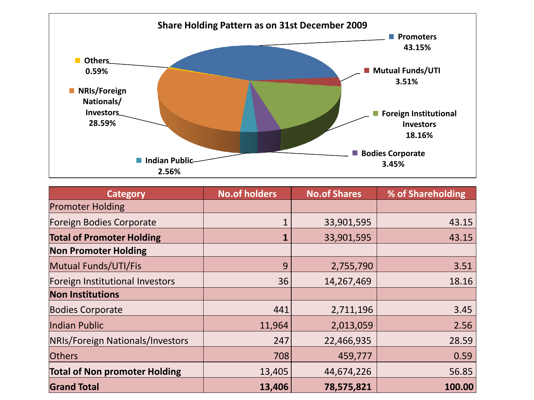

| <b>Category</b>                      | <b>No.of holders</b> | <b>No.of Shares</b> | % of Shareholding |
|--------------------------------------|----------------------|---------------------|-------------------|
| <b>Promoter Holding</b>              |                      |                     |                   |
| Foreign Bodies Corporate             |                      | 33,901,595          | 43.15             |
| <b>Total of Promoter Holding</b>     |                      | 33,901,595          | 43.15             |
| <b>Non Promoter Holding</b>          |                      |                     |                   |
| <b>Mutual Funds/UTI/Fis</b>          | 9                    | 2,755,790           | 3.51              |
| Foreign Institutional Investors      | 36                   | 14,267,469          | 18.16             |
| <b>Non Institutions</b>              |                      |                     |                   |
| <b>Bodies Corporate</b>              | 441                  | 2,711,196           | 3.45              |
| Indian Public                        | 11,964               | 2,013,059           | 2.56              |
| NRIs/Foreign Nationals/Investors     | 247                  | 22,466,935          | 28.59             |
| <b>Others</b>                        | 708                  | 459,777             | 0.59              |
| <b>Total of Non promoter Holding</b> | 13,405               | 44,674,226          | 56.85             |
| <b>Grand Total</b>                   | 13,406               | 78,575,821          | 100.00            |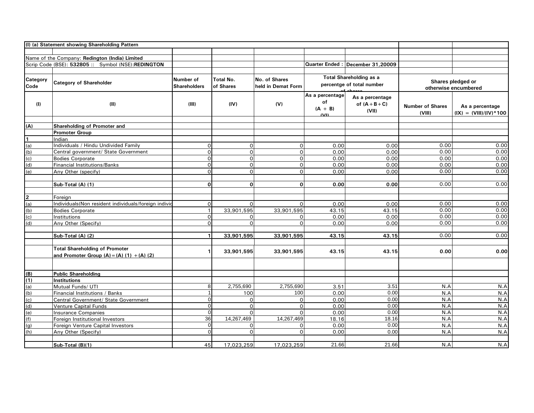|                  | (I) (a) Statement showing Shareholding Pattern                                        |                                  |                               |                                     |                                                             |                                              |                                           |                                             |
|------------------|---------------------------------------------------------------------------------------|----------------------------------|-------------------------------|-------------------------------------|-------------------------------------------------------------|----------------------------------------------|-------------------------------------------|---------------------------------------------|
|                  |                                                                                       |                                  |                               |                                     |                                                             |                                              |                                           |                                             |
|                  | Name of the Company: Redington (India) Limited                                        |                                  |                               |                                     |                                                             |                                              |                                           |                                             |
|                  | Scrip Code (BSE): 532805 :: Symbol (NSE):REDINGTON                                    |                                  |                               |                                     |                                                             | Quarter Ended: December 31,20009             |                                           |                                             |
|                  |                                                                                       |                                  |                               |                                     |                                                             |                                              |                                           |                                             |
| Category<br>Code | <b>Category of Shareholder</b>                                                        | Number of<br><b>Shareholders</b> | <b>Total No.</b><br>of Shares | No. of Shares<br>held in Demat Form | <b>Total Shareholding as a</b><br>percentge of total number |                                              | Shares pledged or<br>otherwise encumbered |                                             |
| (1)              | (II)                                                                                  | (III)                            | (IV)                          | (V)                                 | As a percentage<br>of<br>$(A + B)$<br>$\overline{M}$        | As a percentage<br>of $(A + B + C)$<br>(VII) | <b>Number of Shares</b><br>(VIII)         | As a percentage<br>$(IX) = (VIII)/(IV)*100$ |
| (A)              | Shareholding of Promoter and                                                          |                                  |                               |                                     |                                                             |                                              |                                           |                                             |
|                  | <b>Promoter Group</b>                                                                 |                                  |                               |                                     |                                                             |                                              |                                           |                                             |
| $\overline{1}$   | Indian                                                                                |                                  |                               |                                     |                                                             |                                              |                                           |                                             |
| (a)              | Individuals / Hindu Undivided Family                                                  | 0                                | 0                             | $\Omega$                            | 0.00                                                        | 0.00                                         | 0.00                                      | 0.00                                        |
| (b)              | Central government/ State Government                                                  | $\mathsf{O}\xspace$              | $\mathsf{O}\xspace$           | $\Omega$                            | 0.00                                                        | 0.00                                         | 0.00                                      | 0.00                                        |
| (c)              | <b>Bodies Corporate</b>                                                               | $\mathsf{O}$                     | $\mathsf{O}$                  | $\Omega$                            | 0.00                                                        | 0.00                                         | 0.00                                      | 0.00                                        |
| (d)              | Financial Institutions/Banks                                                          | $\mathsf{O}$                     | $\mathsf{O}$                  | $\Omega$                            | 0.00                                                        | 0.00                                         | 0.00                                      | 0.00                                        |
| (e)              | Any Other (specify)                                                                   | $\mathsf{O}$                     | $\Omega$                      | $\Omega$                            | 0.00                                                        | 0.00                                         | 0.00                                      | 0.00                                        |
|                  | Sub-Total (A) (1)                                                                     | $\mathbf 0$                      | $\mathbf{0}$                  | $\Omega$                            | 0.00                                                        | 0.00                                         | 0.00                                      | 0.00                                        |
| $\overline{2}$   | Foreign                                                                               |                                  |                               |                                     |                                                             |                                              |                                           |                                             |
| (a)              | Individuals(Non resident individuals/foreign individ                                  | $\mathsf{O}$                     | $\Omega$                      | $\Omega$                            | 0.00                                                        | 0.00                                         | 0.00                                      | 0.00                                        |
| (d)              | <b>Bodies Corporate</b>                                                               | $\overline{1}$                   | 33,901,595                    | 33,901,595                          | 43.15                                                       | 43.15                                        | 0.00                                      | 0.00                                        |
| (c)              | Institutions                                                                          | $\mathsf{o}$                     | 0                             | $\Omega$                            | 0.00                                                        | 0.00                                         | 0.00                                      | 0.00                                        |
| (d)              | Any Other (Specify)                                                                   | $\Omega$                         | $\Omega$                      | $\Omega$                            | 0.00                                                        | 0.00                                         | 0.00                                      | 0.00                                        |
|                  | Sub-Total (A) (2)                                                                     | $\mathbf{1}$                     | 33,901,595                    | 33,901,595                          | 43.15                                                       | 43.15                                        | 0.00                                      | 0.00                                        |
|                  | <b>Total Shareholding of Promoter</b><br>and Promoter Group $(A) = (A) (1) + (A) (2)$ | 1                                | 33,901,595                    | 33,901,595                          | 43.15                                                       | 43.15                                        | 0.00                                      | 0.00                                        |
| (B)              | <b>Public Shareholding</b>                                                            |                                  |                               |                                     |                                                             |                                              |                                           |                                             |
| (1)              | <b>Institutions</b>                                                                   |                                  |                               |                                     |                                                             |                                              |                                           |                                             |
| (a)              | Mutual Funds/ UTI                                                                     | 8                                | 2,755,690                     | 2,755,690                           | 3.51                                                        | 3.51                                         | N.A                                       | N.A                                         |
| (b)              | Financial Institutions / Banks                                                        | $\mathbf{1}$                     | 100                           | 100                                 | 0.00                                                        | 0.00                                         | N.A                                       | N.A                                         |
| (c)              | Central Government/ State Government                                                  | $\mathbf 0$                      | $\Omega$                      | $\Omega$                            | 0.00                                                        | 0.00                                         | N.A                                       | N.A                                         |
| (d)              | Venture Capital Funds                                                                 | $\mathbf 0$                      | $\mathsf{O}$                  | $\Omega$                            | 0.00                                                        | 0.00                                         | N.A                                       | N.A                                         |
| (e)              | <b>Insurance Companies</b>                                                            | $\mathbf 0$                      | $\Omega$                      | $\Omega$                            | 0.00                                                        | 0.00                                         | N.A                                       | N.A                                         |
| (f)              | Foreign Institutional Investors                                                       | 36                               | 14,267,469                    | 14,267,469                          | 18.16                                                       | 18.16                                        | N.A                                       | N.A                                         |
| (g)              | Foreign Venture Capital Investors                                                     | $\mathbf 0$                      | 0                             | $\Omega$                            | 0.00                                                        | 0.00                                         | N.A                                       | N.A                                         |
| (h)              | Any Other (Specify)                                                                   | $\Omega$                         | $\Omega$                      | $\Omega$                            | 0.00                                                        | 0.00                                         | N.A                                       | N.A                                         |
|                  | Sub-Total (B)(1)                                                                      | 45                               | 17,023,259                    | 17,023,259                          | 21.66                                                       | 21.66                                        | N.A                                       | N.A                                         |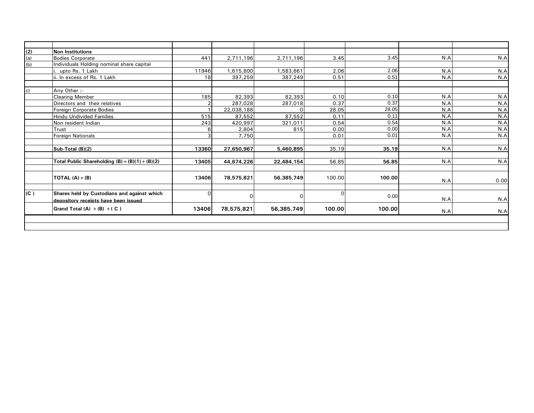| (2)          | <b>Non Institutions</b>                                                             |                |            |            |        |        |     |      |
|--------------|-------------------------------------------------------------------------------------|----------------|------------|------------|--------|--------|-----|------|
| (a)          | <b>Bodies Corporate</b>                                                             | 441            | 2,711,196  | 2,711,196  | 3.45   | 3.45   | N.A | N.A  |
| (b)          | Individuals Holding nominal share capital                                           |                |            |            |        |        |     |      |
|              | upto Rs. 1 Lakh                                                                     | 11946          | 1,615,800  | 1,583,661  | 2.06   | 2.06   | N.A | N.A  |
|              | ii. In excess of Rs. 1 Lakh                                                         | 18             | 397,259    | 387,249    | 0.51   | 0.51   | N.A | N.A  |
|              |                                                                                     |                |            |            |        |        |     |      |
| $\mathbf{C}$ | Any Other :-                                                                        |                |            |            |        |        |     |      |
|              | <b>Clearing Member</b>                                                              | 185            | 82,393     | 82,393     | 0.10   | 0.10   | N.A | N.A  |
|              | Directors and their relatives                                                       | $\overline{2}$ | 287,028    | 287,018    | 0.37   | 0.37   | N.A | N.A  |
|              | Foreign Corporate Bodies                                                            |                | 22,038,188 |            | 28.05  | 28.05  | N.A | N.A  |
|              | <b>Hindu Undivided Families</b>                                                     | 515            | 87,552     | 87,552     | 0.11   | 0.11   | N.A | N.A  |
|              | Non resident Indian                                                                 | 243            | 420,997    | 321,011    | 0.54   | 0.54   | N.A | N.A  |
|              | Trust                                                                               | 6              | 2,804      | 815        | 0.00   | 0.00   | N.A | N.A  |
|              | <b>Foreign Nationals</b>                                                            | 3              | 7,750      |            | 0.01   | 0.01   | N.A | N.A  |
|              |                                                                                     |                |            |            |        |        |     |      |
|              | Sub-Total (B)(2)                                                                    | 13360          | 27,650,967 | 5,460,895  | 35.19  | 35.19  | N.A | N.A  |
|              | Total Public Shareholding $(B) = (B)(1) + (B)(2)$                                   | 13405          | 44,674,226 | 22,484,154 | 56.85  | 56.85  | N.A | N.A  |
|              | TOTAL $(A) + (B)$                                                                   | 13406          | 78,575,821 | 56,385,749 | 100.00 | 100.00 | N.A | 0.00 |
| (C)          | Shares held by Custodians and against which<br>depository receipts have been issued | 0              | $\Omega$   | ∩          |        | 0.00   | N.A | N.A  |
|              | Grand Total $(A) + (B) + (C)$                                                       | 13406          | 78,575,821 | 56,385,749 | 100.00 | 100.00 | N.A | N.A  |
|              |                                                                                     |                |            |            |        |        |     |      |
|              |                                                                                     |                |            |            |        |        |     |      |
|              |                                                                                     |                |            |            |        |        |     |      |